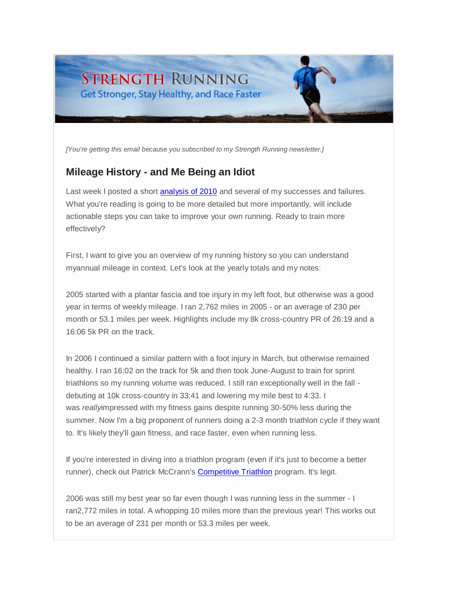# **STRENGTH RUNNING** Get Stronger, Stay Healthy, and Race Faster

*[You're getting this email because you subscribed to my Strength Running newsletter.]*

# **Mileage History - and Me Being an Idiot**

Last week I posted a short [analysis of 2010](http://strengthrunning.com/2011/01/2010-in-review-high-mileage-injury-prevention-and-general-strength/) and several of my successes and failures. What you're reading is going to be more detailed but more importantly, will include actionable steps you can take to improve your own running. Ready to train more effectively?

First, I want to give you an overview of my running history so you can understand myannual mileage in context. Let's look at the yearly totals and my notes:

2005 started with a plantar fascia and toe injury in my left foot, but otherwise was a good year in terms of weekly mileage. I ran 2,762 miles in 2005 - or an average of 230 per month or 53.1 miles per week. Highlights include my 8k cross-country PR of 26:19 and a 16:06 5k PR on the track.

In 2006 I continued a similar pattern with a foot injury in March, but otherwise remained healthy. I ran 16:02 on the track for 5k and then took June-August to train for sprint triathlons so my running volume was reduced. I still ran exceptionally well in the fall debuting at 10k cross-country in 33:41 and lowering my mile best to 4:33. I was *really*impressed with my fitness gains despite running 30-50% less during the summer. Now I'm a big proponent of runners doing a 2-3 month triathlon cycle if they want to. It's likely they'll gain fitness, and race faster, even when running less.

If you're interested in diving into a triathlon program (even if it's just to become a better runner), check out Patrick McCrann's [Competitive Triathlon](http://strengthrunning.com/competitive-triathlon-in-10-hours-a-week) program. It's legit.

2006 was still my best year so far even though I was running less in the summer - I ran2,772 miles in total. A whopping 10 miles more than the previous year! This works out to be an average of 231 per month or 53.3 miles per week.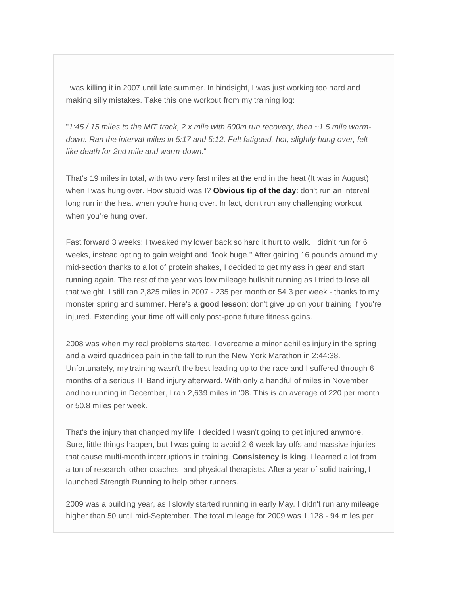I was killing it in 2007 until late summer. In hindsight, I was just working too hard and making silly mistakes. Take this one workout from my training log:

"*1:45 / 15 miles to the MIT track, 2 x mile with 600m run recovery, then ~1.5 mile warmdown. Ran the interval miles in 5:17 and 5:12. Felt fatigued, hot, slightly hung over, felt like death for 2nd mile and warm-down.*"

That's 19 miles in total, with two *very* fast miles at the end in the heat (It was in August) when I was hung over. How stupid was I? **Obvious tip of the day**: don't run an interval long run in the heat when you're hung over. In fact, don't run any challenging workout when you're hung over.

Fast forward 3 weeks: I tweaked my lower back so hard it hurt to walk. I didn't run for 6 weeks, instead opting to gain weight and "look huge." After gaining 16 pounds around my mid-section thanks to a lot of protein shakes, I decided to get my ass in gear and start running again. The rest of the year was low mileage bullshit running as I tried to lose all that weight. I still ran 2,825 miles in 2007 - 235 per month or 54.3 per week - thanks to my monster spring and summer. Here's **a good lesson**: don't give up on your training if you're injured. Extending your time off will only post-pone future fitness gains.

2008 was when my real problems started. I overcame a minor achilles injury in the spring and a weird quadricep pain in the fall to run the New York Marathon in 2:44:38. Unfortunately, my training wasn't the best leading up to the race and I suffered through 6 months of a serious IT Band injury afterward. With only a handful of miles in November and no running in December, I ran 2,639 miles in '08. This is an average of 220 per month or 50.8 miles per week.

That's the injury that changed my life. I decided I wasn't going to get injured anymore. Sure, little things happen, but I was going to avoid 2-6 week lay-offs and massive injuries that cause multi-month interruptions in training. **Consistency is king**. I learned a lot from a ton of research, other coaches, and physical therapists. After a year of solid training, I launched Strength Running to help other runners.

2009 was a building year, as I slowly started running in early May. I didn't run any mileage higher than 50 until mid-September. The total mileage for 2009 was 1,128 - 94 miles per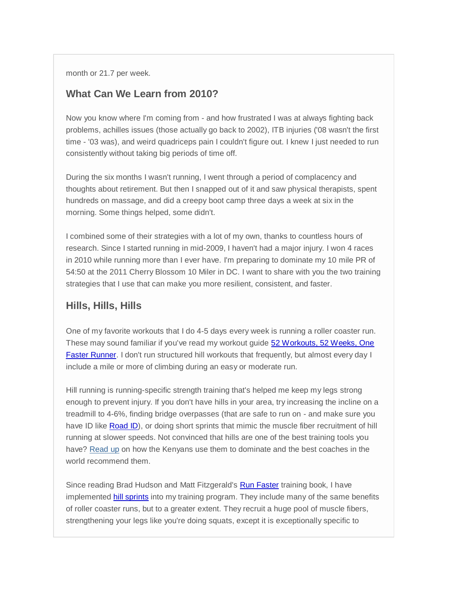month or 21.7 per week.

#### **What Can We Learn from 2010?**

Now you know where I'm coming from - and how frustrated I was at always fighting back problems, achilles issues (those actually go back to 2002), ITB injuries ('08 wasn't the first time - '03 was), and weird quadriceps pain I couldn't figure out. I knew I just needed to run consistently without taking big periods of time off.

During the six months I wasn't running, I went through a period of complacency and thoughts about retirement. But then I snapped out of it and saw physical therapists, spent hundreds on massage, and did a creepy boot camp three days a week at six in the morning. Some things helped, some didn't.

I combined some of their strategies with a lot of my own, thanks to countless hours of research. Since I started running in mid-2009, I haven't had a major injury. I won 4 races in 2010 while running more than I ever have. I'm preparing to dominate my 10 mile PR of 54:50 at the 2011 Cherry Blossom 10 Miler in DC. I want to share with you the two training strategies that I use that can make you more resilient, consistent, and faster.

#### **Hills, Hills, Hills**

One of my favorite workouts that I do 4-5 days every week is running a roller coaster run. These may sound familiar if you've read my workout guide [52 Workouts, 52 Weeks, One](http://strengthrunning.com/2010/12/52-workouts-52-weeks-one-faster-runner/)  [Faster Runner.](http://strengthrunning.com/2010/12/52-workouts-52-weeks-one-faster-runner/) I don't run structured hill workouts that frequently, but almost every day I include a mile or more of climbing during an easy or moderate run.

Hill running is running-specific strength training that's helped me keep my legs strong enough to prevent injury. If you don't have hills in your area, try increasing the incline on a treadmill to 4-6%, finding bridge overpasses (that are safe to run on - and make sure you have ID like [Road ID\)](http://strengthrunning.com/road-id), or doing short sprints that mimic the muscle fiber recruitment of hill running at slower speeds. Not convinced that hills are one of the best training tools you have? [Read up](http://www.runnersworld.com/article/0,7120,s6-238-263-264-7519-0,00.html) on how the Kenyans use them to dominate and the best coaches in the world recommend them.

Since reading Brad Hudson and Matt Fitzgerald's [Run Faster](http://www.amazon.com/gp/product/0767928229?ie=UTF8&tag=strenrunni-20&linkCode=as2&camp=1789&creative=390957&creativeASIN=0767928229) training book, I have implemented [hill sprints](http://naturallyengineered.com/blog/hill-sprints-my-new-favorite-workout/) into my training program. They include many of the same benefits of roller coaster runs, but to a greater extent. They recruit a huge pool of muscle fibers, strengthening your legs like you're doing squats, except it is exceptionally specific to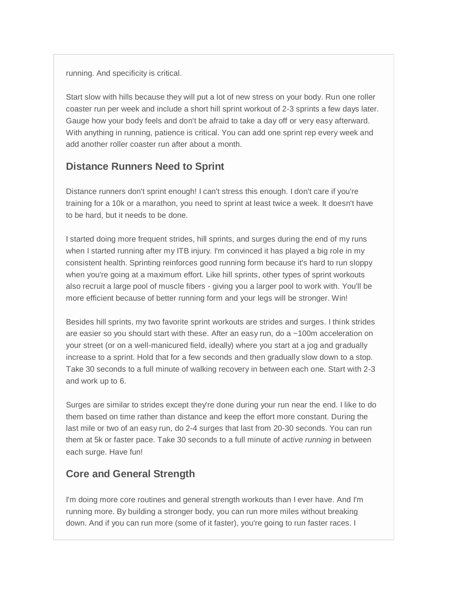running. And specificity is critical.

Start slow with hills because they will put a lot of new stress on your body. Run one roller coaster run per week and include a short hill sprint workout of 2-3 sprints a few days later. Gauge how your body feels and don't be afraid to take a day off or very easy afterward. With anything in running, patience is critical. You can add one sprint rep every week and add another roller coaster run after about a month.

# **Distance Runners Need to Sprint**

Distance runners don't sprint enough! I can't stress this enough. I don't care if you're training for a 10k or a marathon, you need to sprint at least twice a week. It doesn't have to be hard, but it needs to be done.

I started doing more frequent strides, hill sprints, and surges during the end of my runs when I started running after my ITB injury. I'm convinced it has played a big role in my consistent health. Sprinting reinforces good running form because it's hard to run sloppy when you're going at a maximum effort. Like hill sprints, other types of sprint workouts also recruit a large pool of muscle fibers - giving you a larger pool to work with. You'll be more efficient because of better running form and your legs will be stronger. Win!

Besides hill sprints, my two favorite sprint workouts are strides and surges. I think strides are easier so you should start with these. After an easy run, do a ~100m acceleration on your street (or on a well-manicured field, ideally) where you start at a jog and gradually increase to a sprint. Hold that for a few seconds and then gradually slow down to a stop. Take 30 seconds to a full minute of walking recovery in between each one. Start with 2-3 and work up to 6.

Surges are similar to strides except they're done during your run near the end. I like to do them based on time rather than distance and keep the effort more constant. During the last mile or two of an easy run, do 2-4 surges that last from 20-30 seconds. You can run them at 5k or faster pace. Take 30 seconds to a full minute of *active running* in between each surge. Have fun!

## **Core and General Strength**

I'm doing more core routines and general strength workouts than I ever have. And I'm running more. By building a stronger body, you can run more miles without breaking down. And if you can run more (some of it faster), you're going to run faster races. I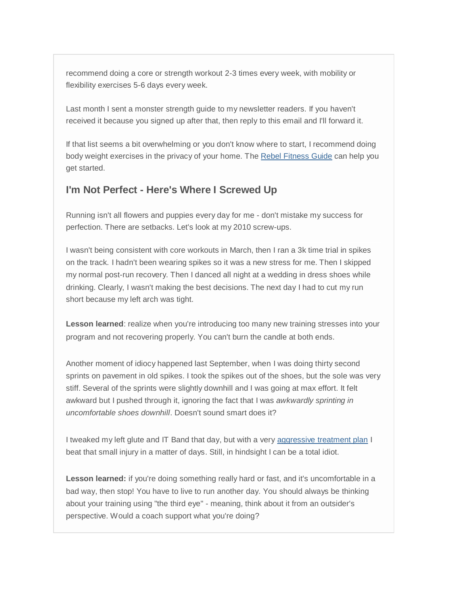recommend doing a core or strength workout 2-3 times every week, with mobility or flexibility exercises 5-6 days every week.

Last month I sent a monster strength guide to my newsletter readers. If you haven't received it because you signed up after that, then reply to this email and I'll forward it.

If that list seems a bit overwhelming or you don't know where to start, I recommend doing body weight exercises in the privacy of your home. The [Rebel Fitness Guide](http://strengthrunning.com/rebel-fitness-guide) can help you get started.

### **I'm Not Perfect - Here's Where I Screwed Up**

Running isn't all flowers and puppies every day for me - don't mistake my success for perfection. There are setbacks. Let's look at my 2010 screw-ups.

I wasn't being consistent with core workouts in March, then I ran a 3k time trial in spikes on the track. I hadn't been wearing spikes so it was a new stress for me. Then I skipped my normal post-run recovery. Then I danced all night at a wedding in dress shoes while drinking. Clearly, I wasn't making the best decisions. The next day I had to cut my run short because my left arch was tight.

**Lesson learned**: realize when you're introducing too many new training stresses into your program and not recovering properly. You can't burn the candle at both ends.

Another moment of idiocy happened last September, when I was doing thirty second sprints on pavement in old spikes. I took the spikes out of the shoes, but the sole was very stiff. Several of the sprints were slightly downhill and I was going at max effort. It felt awkward but I pushed through it, ignoring the fact that I was *awkwardly sprinting in uncomfortable shoes downhill*. Doesn't sound smart does it?

I tweaked my left glute and IT Band that day, but with a very [aggressive treatment plan](http://strengthrunning.com/2010/10/how-to-treat-injuries-healing-itbs-in-five-days/) I beat that small injury in a matter of days. Still, in hindsight I can be a total idiot.

**Lesson learned:** if you're doing something really hard or fast, and it's uncomfortable in a bad way, then stop! You have to live to run another day. You should always be thinking about your training using "the third eye" - meaning, think about it from an outsider's perspective. Would a coach support what you're doing?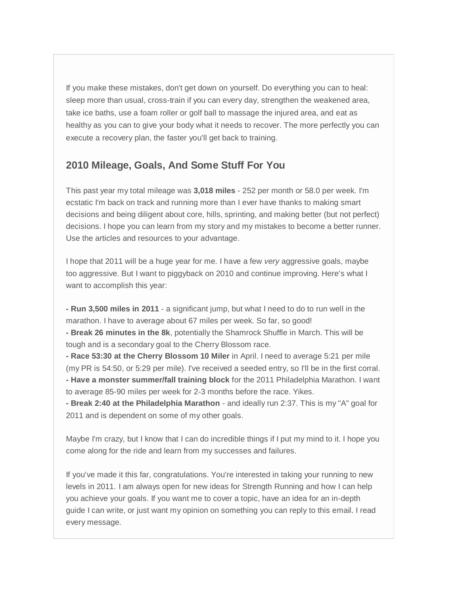If you make these mistakes, don't get down on yourself. Do everything you can to heal: sleep more than usual, cross-train if you can every day, strengthen the weakened area, take ice baths, use a foam roller or golf ball to massage the injured area, and eat as healthy as you can to give your body what it needs to recover. The more perfectly you can execute a recovery plan, the faster you'll get back to training.

#### **2010 Mileage, Goals, And Some Stuff For You**

This past year my total mileage was **3,018 miles** - 252 per month or 58.0 per week. I'm ecstatic I'm back on track and running more than I ever have thanks to making smart decisions and being diligent about core, hills, sprinting, and making better (but not perfect) decisions. I hope you can learn from my story and my mistakes to become a better runner. Use the articles and resources to your advantage.

I hope that 2011 will be a huge year for me. I have a few *very* aggressive goals, maybe too aggressive. But I want to piggyback on 2010 and continue improving. Here's what I want to accomplish this year:

**- Run 3,500 miles in 2011** - a significant jump, but what I need to do to run well in the marathon. I have to average about 67 miles per week. So far, so good!

**- Break 26 minutes in the 8k**, potentially the Shamrock Shuffle in March. This will be tough and is a secondary goal to the Cherry Blossom race.

**- Race 53:30 at the Cherry Blossom 10 Miler** in April. I need to average 5:21 per mile (my PR is 54:50, or 5:29 per mile). I've received a seeded entry, so I'll be in the first corral. **- Have a monster summer/fall training block** for the 2011 Philadelphia Marathon. I want to average 85-90 miles per week for 2-3 months before the race. Yikes.

**- Break 2:40 at the Philadelphia Marathon** - and ideally run 2:37. This is my "A" goal for 2011 and is dependent on some of my other goals.

Maybe I'm crazy, but I know that I can do incredible things if I put my mind to it. I hope you come along for the ride and learn from my successes and failures.

If you've made it this far, congratulations. You're interested in taking your running to new levels in 2011. I am always open for new ideas for Strength Running and how I can help you achieve your goals. If you want me to cover a topic, have an idea for an in-depth guide I can write, or just want my opinion on something you can reply to this email. I read every message.